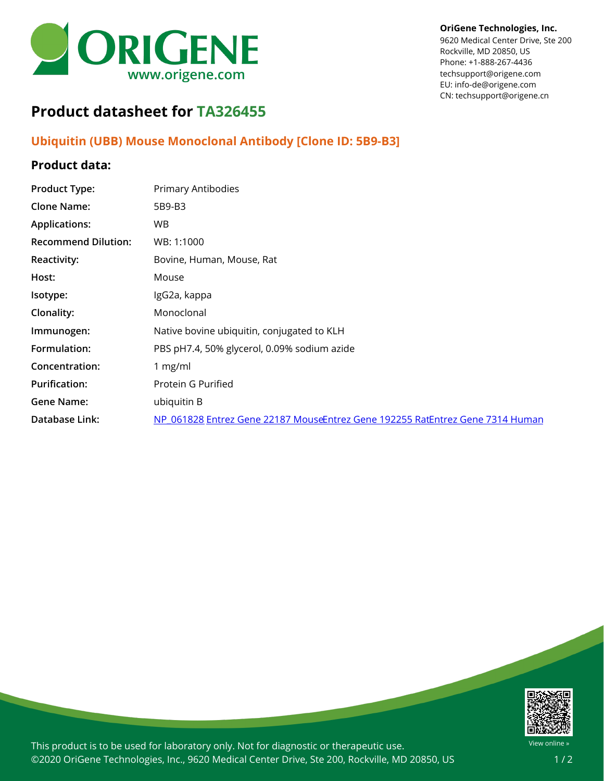

#### **OriGene Technologies, Inc.**

9620 Medical Center Drive, Ste 200 Rockville, MD 20850, US Phone: +1-888-267-4436 techsupport@origene.com EU: info-de@origene.com CN: techsupport@origene.cn

# **Product datasheet for TA326455**

## **Ubiquitin (UBB) Mouse Monoclonal Antibody [Clone ID: 5B9-B3]**

### **Product data:**

| <b>Product Type:</b>       | Primary Antibodies                                                            |
|----------------------------|-------------------------------------------------------------------------------|
| <b>Clone Name:</b>         | 5B9-B3                                                                        |
| <b>Applications:</b>       | WB.                                                                           |
| <b>Recommend Dilution:</b> | WB: 1:1000                                                                    |
| <b>Reactivity:</b>         | Bovine, Human, Mouse, Rat                                                     |
| Host:                      | Mouse                                                                         |
| Isotype:                   | IgG2a, kappa                                                                  |
| Clonality:                 | Monoclonal                                                                    |
| Immunogen:                 | Native bovine ubiquitin, conjugated to KLH                                    |
| Formulation:               | PBS pH7.4, 50% glycerol, 0.09% sodium azide                                   |
| Concentration:             | 1 $mg/ml$                                                                     |
| <b>Purification:</b>       | Protein G Purified                                                            |
| <b>Gene Name:</b>          | ubiquitin B                                                                   |
| Database Link:             | NP 061828 Entrez Gene 22187 MouseEntrez Gene 192255 RatEntrez Gene 7314 Human |
|                            |                                                                               |



This product is to be used for laboratory only. Not for diagnostic or therapeutic use. ©2020 OriGene Technologies, Inc., 9620 Medical Center Drive, Ste 200, Rockville, MD 20850, US